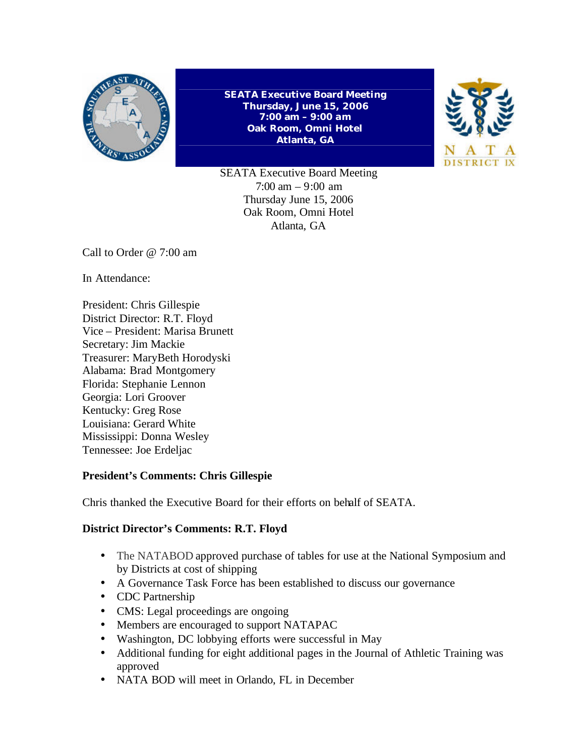

**SEATA Executive Board Meeting Thursday, June 15, 2006 7:00 am – 9:00 am Oak Room, Omni Hotel Atlanta, GA**



SEATA Executive Board Meeting 7:00 am – 9:00 am Thursday June 15, 2006 Oak Room, Omni Hotel Atlanta, GA

Call to Order @ 7:00 am

In Attendance:

President: Chris Gillespie District Director: R.T. Floyd Vice – President: Marisa Brunett Secretary: Jim Mackie Treasurer: MaryBeth Horodyski Alabama: Brad Montgomery Florida: Stephanie Lennon Georgia: Lori Groover Kentucky: Greg Rose Louisiana: Gerard White Mississippi: Donna Wesley Tennessee: Joe Erdeljac

# **President's Comments: Chris Gillespie**

Chris thanked the Executive Board for their efforts on behalf of SEATA.

## **District Director's Comments: R.T. Floyd**

- The NATABOD approved purchase of tables for use at the National Symposium and by Districts at cost of shipping
- A Governance Task Force has been established to discuss our governance
- CDC Partnership
- CMS: Legal proceedings are ongoing
- Members are encouraged to support NATAPAC
- Washington, DC lobbying efforts were successful in May
- Additional funding for eight additional pages in the Journal of Athletic Training was approved
- NATA BOD will meet in Orlando, FL in December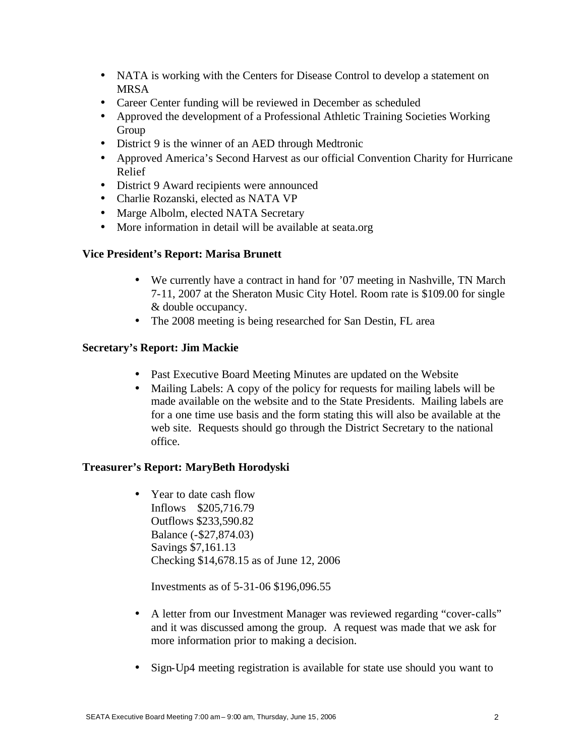- NATA is working with the Centers for Disease Control to develop a statement on MRSA
- Career Center funding will be reviewed in December as scheduled
- Approved the development of a Professional Athletic Training Societies Working Group
- District 9 is the winner of an AED through Medtronic
- Approved America's Second Harvest as our official Convention Charity for Hurricane Relief
- District 9 Award recipients were announced
- Charlie Rozanski, elected as NATA VP
- Marge Albolm, elected NATA Secretary
- More information in detail will be available at seata.org

## **Vice President's Report: Marisa Brunett**

- We currently have a contract in hand for '07 meeting in Nashville, TN March 7-11, 2007 at the Sheraton Music City Hotel. Room rate is \$109.00 for single & double occupancy.
- The 2008 meeting is being researched for San Destin, FL area

#### **Secretary's Report: Jim Mackie**

- Past Executive Board Meeting Minutes are updated on the Website
- Mailing Labels: A copy of the policy for requests for mailing labels will be made available on the website and to the State Presidents. Mailing labels are for a one time use basis and the form stating this will also be available at the web site. Requests should go through the District Secretary to the national office.

## **Treasurer's Report: MaryBeth Horodyski**

• Year to date cash flow Inflows \$205,716.79 Outflows \$233,590.82 Balance (-\$27,874.03) Savings \$7,161.13 Checking \$14,678.15 as of June 12, 2006

Investments as of 5-31-06 \$196,096.55

- A letter from our Investment Manager was reviewed regarding "cover-calls" and it was discussed among the group. A request was made that we ask for more information prior to making a decision.
- Sign-Up4 meeting registration is available for state use should you want to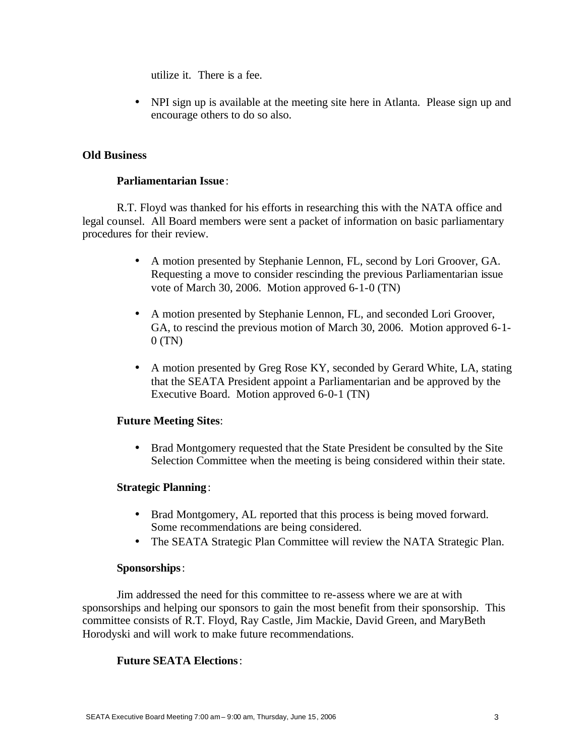utilize it. There is a fee.

• NPI sign up is available at the meeting site here in Atlanta. Please sign up and encourage others to do so also.

## **Old Business**

## **Parliamentarian Issue** :

R.T. Floyd was thanked for his efforts in researching this with the NATA office and legal counsel. All Board members were sent a packet of information on basic parliamentary procedures for their review.

- A motion presented by Stephanie Lennon, FL, second by Lori Groover, GA. Requesting a move to consider rescinding the previous Parliamentarian issue vote of March 30, 2006. Motion approved 6-1-0 (TN)
- A motion presented by Stephanie Lennon, FL, and seconded Lori Groover, GA, to rescind the previous motion of March 30, 2006. Motion approved 6-1-  $0$  (TN)
- A motion presented by Greg Rose KY, seconded by Gerard White, LA, stating that the SEATA President appoint a Parliamentarian and be approved by the Executive Board. Motion approved 6-0-1 (TN)

## **Future Meeting Sites**:

• Brad Montgomery requested that the State President be consulted by the Site Selection Committee when the meeting is being considered within their state.

# **Strategic Planning**:

- Brad Montgomery, AL reported that this process is being moved forward. Some recommendations are being considered.
- The SEATA Strategic Plan Committee will review the NATA Strategic Plan.

## **Sponsorships**:

Jim addressed the need for this committee to re-assess where we are at with sponsorships and helping our sponsors to gain the most benefit from their sponsorship. This committee consists of R.T. Floyd, Ray Castle, Jim Mackie, David Green, and MaryBeth Horodyski and will work to make future recommendations.

## **Future SEATA Elections**: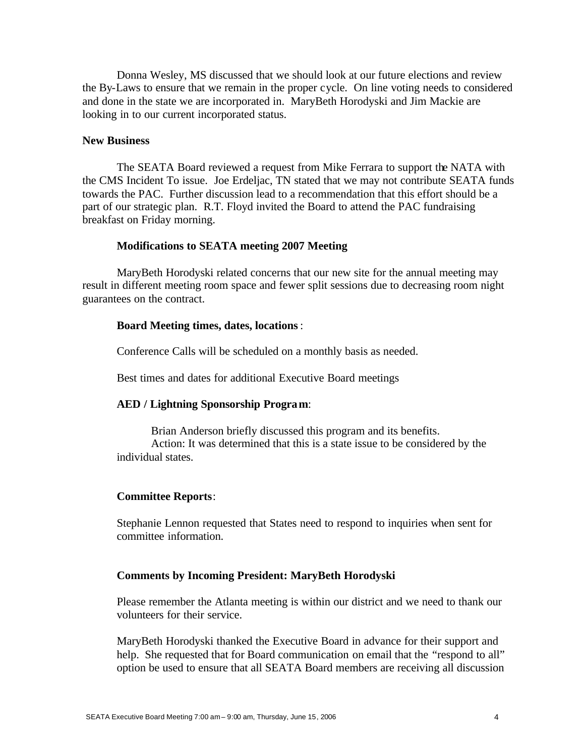Donna Wesley, MS discussed that we should look at our future elections and review the By-Laws to ensure that we remain in the proper cycle. On line voting needs to considered and done in the state we are incorporated in. MaryBeth Horodyski and Jim Mackie are looking in to our current incorporated status.

#### **New Business**

The SEATA Board reviewed a request from Mike Ferrara to support the NATA with the CMS Incident To issue. Joe Erdeljac, TN stated that we may not contribute SEATA funds towards the PAC. Further discussion lead to a recommendation that this effort should be a part of our strategic plan. R.T. Floyd invited the Board to attend the PAC fundraising breakfast on Friday morning.

#### **Modifications to SEATA meeting 2007 Meeting**

MaryBeth Horodyski related concerns that our new site for the annual meeting may result in different meeting room space and fewer split sessions due to decreasing room night guarantees on the contract.

#### **Board Meeting times, dates, locations**:

Conference Calls will be scheduled on a monthly basis as needed.

Best times and dates for additional Executive Board meetings

#### **AED / Lightning Sponsorship Program**:

Brian Anderson briefly discussed this program and its benefits. Action: It was determined that this is a state issue to be considered by the individual states.

#### **Committee Reports**:

Stephanie Lennon requested that States need to respond to inquiries when sent for committee information.

#### **Comments by Incoming President: MaryBeth Horodyski**

Please remember the Atlanta meeting is within our district and we need to thank our volunteers for their service.

MaryBeth Horodyski thanked the Executive Board in advance for their support and help. She requested that for Board communication on email that the "respond to all" option be used to ensure that all SEATA Board members are receiving all discussion